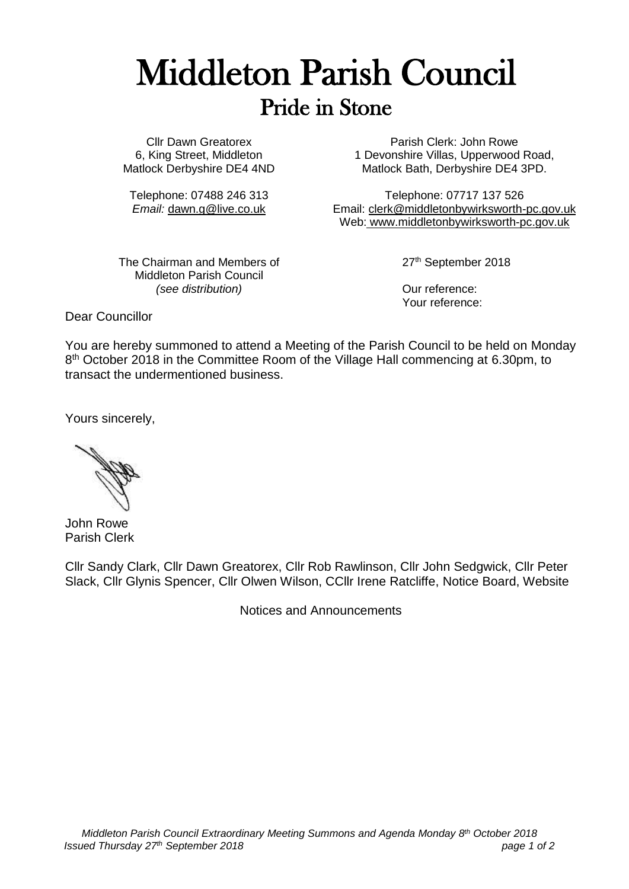## Middleton Parish Council Pride in Stone

Cllr Dawn Greatorex 6, King Street, Middleton Matlock Derbyshire DE4 4ND

Telephone: 07488 246 313 *Email:* [dawn.g@live.co.uk](mailto:dawn.g@live.co.uk)

Parish Clerk: John Rowe 1 Devonshire Villas, Upperwood Road, Matlock Bath, Derbyshire DE4 3PD.

Telephone: 07717 137 526 Email: [clerk@middletonbywirksworth-pc.gov.uk](mailto:clerk@middletonbywirksworth-pc.gov.uk) Web: [www.middletonbywirksworth-pc.gov.uk](http://www.middletonbywirksworth-pc.gov.uk/)

The Chairman and Members of Middleton Parish Council *(see distribution)*

27<sup>th</sup> September 2018

Our reference: Your reference:

Dear Councillor

You are hereby summoned to attend a Meeting of the Parish Council to be held on Monday 8<sup>th</sup> October 2018 in the Committee Room of the Village Hall commencing at 6.30pm, to transact the undermentioned business.

Yours sincerely,

John Rowe Parish Clerk

Cllr Sandy Clark, Cllr Dawn Greatorex, Cllr Rob Rawlinson, Cllr John Sedgwick, Cllr Peter Slack, Cllr Glynis Spencer, Cllr Olwen Wilson, CCllr Irene Ratcliffe, Notice Board, Website

Notices and Announcements